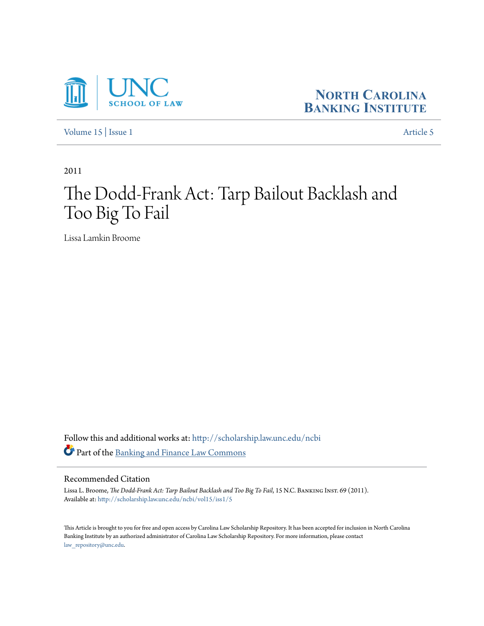



[Volume 15](http://scholarship.law.unc.edu/ncbi/vol15?utm_source=scholarship.law.unc.edu%2Fncbi%2Fvol15%2Fiss1%2F5&utm_medium=PDF&utm_campaign=PDFCoverPages) | [Issue 1](http://scholarship.law.unc.edu/ncbi/vol15/iss1?utm_source=scholarship.law.unc.edu%2Fncbi%2Fvol15%2Fiss1%2F5&utm_medium=PDF&utm_campaign=PDFCoverPages) [Article 5](http://scholarship.law.unc.edu/ncbi/vol15/iss1/5?utm_source=scholarship.law.unc.edu%2Fncbi%2Fvol15%2Fiss1%2F5&utm_medium=PDF&utm_campaign=PDFCoverPages)

2011

# The Dodd-Frank Act: Tarp Bailout Backlash and Too Big To Fail

Lissa Lamkin Broome

Follow this and additional works at: [http://scholarship.law.unc.edu/ncbi](http://scholarship.law.unc.edu/ncbi?utm_source=scholarship.law.unc.edu%2Fncbi%2Fvol15%2Fiss1%2F5&utm_medium=PDF&utm_campaign=PDFCoverPages) Part of the [Banking and Finance Law Commons](http://network.bepress.com/hgg/discipline/833?utm_source=scholarship.law.unc.edu%2Fncbi%2Fvol15%2Fiss1%2F5&utm_medium=PDF&utm_campaign=PDFCoverPages)

## Recommended Citation

Lissa L. Broome, *The Dodd-Frank Act: Tarp Bailout Backlash and Too Big To Fail*, 15 N.C. Banking Inst. 69 (2011). Available at: [http://scholarship.law.unc.edu/ncbi/vol15/iss1/5](http://scholarship.law.unc.edu/ncbi/vol15/iss1/5?utm_source=scholarship.law.unc.edu%2Fncbi%2Fvol15%2Fiss1%2F5&utm_medium=PDF&utm_campaign=PDFCoverPages)

This Article is brought to you for free and open access by Carolina Law Scholarship Repository. It has been accepted for inclusion in North Carolina Banking Institute by an authorized administrator of Carolina Law Scholarship Repository. For more information, please contact [law\\_repository@unc.edu.](mailto:law_repository@unc.edu)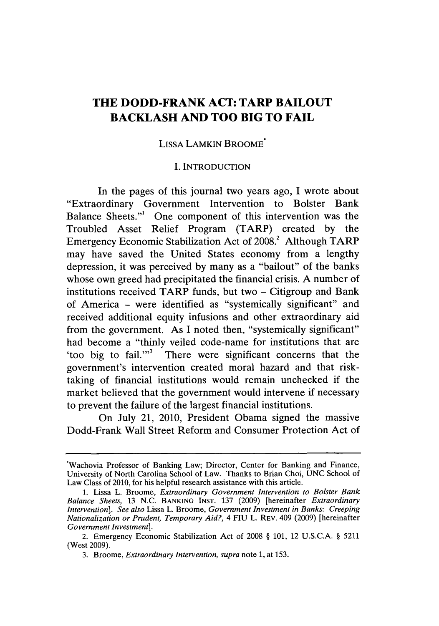# **THE DODD-FRANK ACT: TARP BAILOUT BACKLASH AND TOO BIG TO FAIL**

#### LISSA LAMKIN BROOME\*

#### **I. INTRODUCTION**

In the pages of this journal two years ago, **I** wrote about "Extraordinary Government Intervention to Bolster Bank Balance Sheets."' One component of this intervention was the Troubled Asset Relief Program (TARP) created **by** the Emergency Economic Stabilization Act of **2008.2** Although TARP may have saved the United States economy from a lengthy depression, it was perceived **by** many as a "bailout" of the banks whose own greed had precipitated the financial crisis. **A** number of institutions received TARP funds, but two **-** Citigroup and Bank of America **-** were identified as "systemically significant" and received additional equity infusions and other extraordinary aid from the government. As **I** noted then, "systemically significant" had become a "thinly veiled code-name for institutions that are 'too big to fail."' There were significant concerns that the government's intervention created moral hazard and that risktaking of financial institutions would remain unchecked if the market believed that the government would intervene if necessary to prevent the failure of the largest financial institutions.

On July 21, 2010, President Obama signed the massive Dodd-Frank Wall Street Reform and Consumer Protection Act of

<sup>.</sup>Wachovia Professor of Banking Law; Director, Center for Banking and Finance, University of North Carolina School of Law. Thanks to Brian Choi, **UNC** School of Law Class of 2010, for his helpful research assistance with this article.

**<sup>1.</sup>** Lissa L. Broome, *Extraordinary Government Intervention to Bolster Bank Balance Sheets,* **13 N.C. BANKING INST. 137 (2009)** [hereinafter *Extraordinary Intervention]. See also* Lissa L. Broome, *Government Investment in Banks: Creeping Nationalization or Prudent, Temporary Aid?, 4* FIU L. REV. 409 **(2009)** [hereinafter *Government Investment].*

<sup>2.</sup> Emergency Economic Stabilization Act of **2008 § 101,** 12 **U.S.C.A. § 5211** (West **2009).**

**<sup>3.</sup>** Broome, *Extraordinary Intervention, supra* note **1,** at **153.**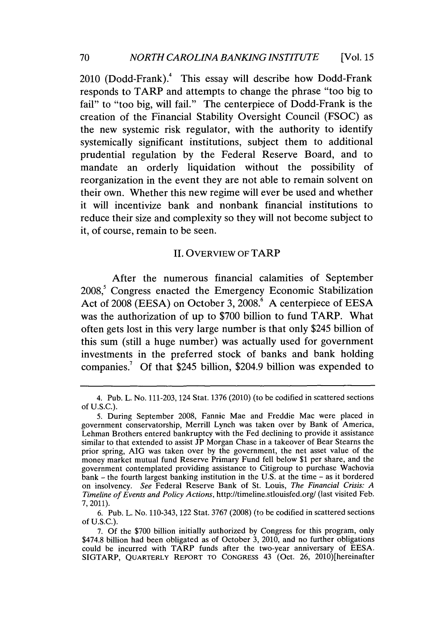2010 (Dodd-Frank).<sup>4</sup> This essay will describe how Dodd-Frank responds to TARP and attempts to change the phrase "too big to fail" to "too big, will fail." The centerpiece of Dodd-Frank is the creation of the Financial Stability Oversight Council **(FSOC)** as the new systemic risk regulator, with the authority to identify systemically significant institutions, subject them to additional prudential regulation **by** the Federal Reserve Board, and to mandate an orderly liquidation without the possibility of reorganization in the event they are not able to remain solvent on their own. Whether this new regime will ever be used and whether it will incentivize bank and nonbank financial institutions to reduce their size and complexity so they will not become subject to it, of course, remain to be seen.

#### II. **OVERVIEW OF** TARP

After the numerous financial calamities of September **2008,'** Congress enacted the Emergency Economic Stabilization Act of **2008 (EESA)** on October **3, 2008.6 A** centerpiece of **EESA** was the authorization of up to **\$700** billion to fund TARP. What often gets lost in this very large number is that only \$245 billion of this sum (still a huge number) was actually used for government investments in the preferred stock of banks and bank holding companies.<sup>7</sup> Of that \$245 billion, \$204.9 billion was expended to

<sup>4.</sup> Pub. L. No. **111-203,** 124 Stat. **1376** (2010) (to be codified in scattered sections **of U.S.C.).**

**<sup>5.</sup>** During September **2008,** Fannie Mae and Freddie Mac were placed in government conservatorship, Merrill Lynch was taken over **by** Bank of America, Lehman Brothers entered bankruptcy with the Fed declining to provide it assistance similar to that extended to assist **JP** Morgan Chase in a takeover of Bear Stearns the prior spring, **AIG** was taken over **by** the government, the net asset value of the money market mutual fund Reserve Primary Fund fell below **\$1** per share, and the government contemplated providing assistance to Citigroup to purchase Wachovia bank **-** the fourth largest banking institution in the **U.S.** at the time **-** as it bordered on insolvency. *See* Federal Reserve Bank of St. Louis, *The Financial Crisis: A Timeline of Events and Policy Actions,* http://timeline.stlouisfed.org/ (last visited Feb. **7, 2011).**

**<sup>6.</sup>** Pub. L. No. 110-343, 122 Stat. **3767 (2008)** (to be codified in scattered sections **of U.S.C.).**

**<sup>7.</sup> Of** the **\$700** billion initially authorized **by** Congress for this program, only \$474.8 billion had been obligated as of October **3,** 2010, and no further obligations could be incurred with TARP funds after the two-year anniversary of **EESA. SIGTARP,** QUARTERLY REPORT TO CONGRESS 43 (Oct. **26,** 2010)[hereinafter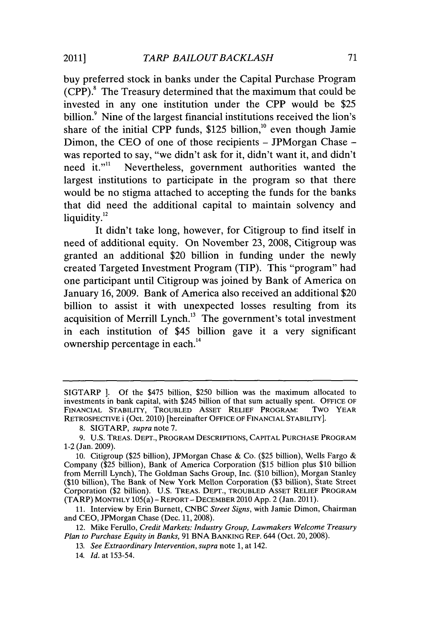buy preferred stock in banks under the Capital Purchase Program  $(CPP)$ .<sup>8</sup> The Treasury determined that the maximum that could be invested in any one institution under the CPP would be **\$25** billion.<sup>9</sup> Nine of the largest financial institutions received the lion's share of the initial CPP funds, \$125 billion,<sup>10</sup> even though Jamie Dimon, the **CEO** of one of those recipients **-** JPMorgan Chase  was reported to say, "we didn't ask for it, didn't want it, and didn't need it."<sup>11</sup> Nevertheless, government authorities wanted the largest institutions to participate in the program so that there would be no stigma attached to accepting the funds for the banks that did need the additional capital to maintain solvency and liquidity.<sup>12</sup>

It didn't take long, however, for Citigroup to find itself in need of additional equity. On November **23,** 2008, Citigroup was granted an additional \$20 billion in funding under the newly created Targeted Investment Program (TIP). This "program" had one participant until Citigroup was joined **by** Bank of America on January **16, 2009.** Bank of America also received an additional \$20 billion to assist it with unexpected losses resulting from its acquisition of Merrill Lynch." The government's total investment in each institution of \$45 billion gave it a very significant ownership percentage in each.<sup>14</sup>

SIGTARP *].* **Of** the \$475 billion, **\$250** billion was the maximum allocated to investments in bank capital, with \$245 billion of that sum actually spent. **OFFICE** OF **FINANCIAL** STABILITY, TROUBLED ASSET RELIEF PROGRAM: TWO YEAR RETROSPECTIVE i (Oct. 2010) [hereinafter **OFFICE** OF **FINANCIAL** STABILITY].

**<sup>8.</sup>** SIGTARP, *supra* note **7.**

**<sup>9.</sup> U.S.** TREAS. **DEPT., PROGRAM DESCRIPTIONS, CAPITAL PURCHASE** PROGRAM 1-2 (Jan. **2009).**

**<sup>10.</sup>** Citigroup **(\$25** billion), JPMorgan Chase **&** Co. **(\$25** billion), Wells Fargo **&** Company **(\$25** billion), Bank of America Corporation **(\$15** billion plus **\$10** billion from Merrill Lynch), The Goldman Sachs Group, Inc. **(\$10** billion), Morgan Stanley **(\$10** billion), The Bank of New York Mellon Corporation **(\$3** billion), State Street Corporation (\$2 billion). **U.S.** TREAS. DEPT., TROUBLED ASSET RELIEF PROGRAM (TARP) MONTHLY 105(a) **-** REPORT **-** DECEMBER 2010 **App.** 2 (Jan. 2011).

**<sup>11.</sup>** Interview **by** Erin Burnett, **CNBC** *Street Signs,* with Jamie Dimon, Chairman and **CEO,** JPMorgan Chase (Dec. **11, 2008).**

<sup>12.</sup> Mike Ferullo, *Credit Markets: Industry Group, Lawmakers Welcome Treasury Plan to Purchase Equity in Banks,* **91 BNA** BANKING REP. 644 (Oct. **20, 2008).**

*<sup>13.</sup> See Extraordinary Intervention, supra* note **1,** at 142.

*<sup>14.</sup> Id.* at **153-54.**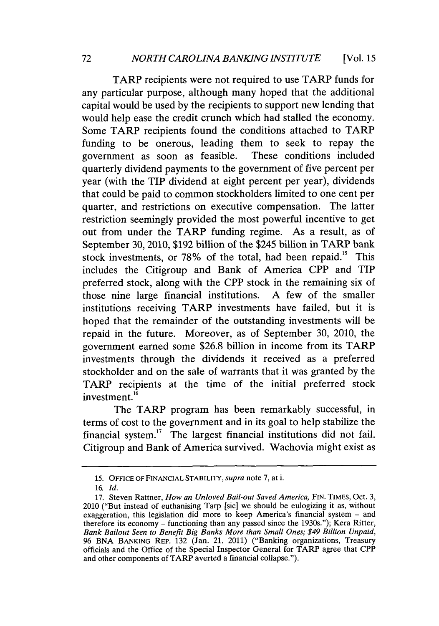TARP recipients were not required to use TARP funds for any particular purpose, although many hoped that the additional capital would be used **by** the recipients to support new lending that would help ease the credit crunch which had stalled the economy. Some TARP recipients found the conditions attached to TARP funding to be onerous, leading them to seek to repay the government as soon as feasible. These conditions included quarterly dividend payments to the government of five percent per year (with the TIP dividend at eight percent per year), dividends that could be paid to common stockholders limited to one cent per quarter, and restrictions on executive compensation. The latter restriction seemingly provided the most powerful incentive to get out from under the TARP funding regime. As a result, as of September **30,** 2010, **\$192** billion of the \$245 billion in TARP bank stock investments, or **78%** of the total, had been repaid." This includes the Citigroup and Bank of America CPP and TIP preferred stock, along with the CPP stock in the remaining six of those nine large financial institutions. **A** few of the smaller institutions receiving TARP investments have failed, but it is hoped that the remainder of the outstanding investments will be repaid in the future. Moreover, as of September **30,** 2010, the government earned some **\$26.8** billion in income from its TARP investments through the dividends it received as a preferred stockholder and on the sale of warrants that it was granted **by** the TARP recipients at the time of the initial preferred stock investment.<sup>16</sup>

The TARP program has been remarkably successful, in terms of cost to the government and in its goal to help stabilize the financial system.<sup>17</sup> The largest financial institutions did not fail. Citigroup and Bank of America survived. Wachovia might exist as

**<sup>15.</sup> OFFICE OF FINANCIAL STABILITY,** *supra* note **7,** at i.

*<sup>16.</sup> Id.*

**<sup>17.</sup>** Steven Rattner, *How an Unloved Bail-out Saved America,* **FIN. TIMEs,** Oct. **3,** 2010 ("But instead of euthanising Tarp [sic] we should be eulogizing it as, without exaggeration, this legislation did more to keep America's financial system **-** and therefore its economy **-** functioning than any passed since the 1930s."); Kera Ritter, *Bank Bailout Seen to Benefit Big Banks More than Small Ones; \$49 Billion Unpaid,* **96 BNA BANKING** REP. **132** (Jan. 21, 2011) ("Banking organizations, Treasury officials and the Office of the Special Inspector General for TARP agree that CPP and other components of TARP averted a financial collapse.").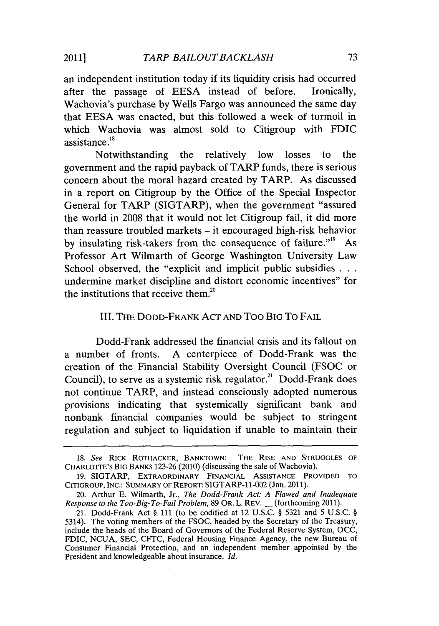an independent institution today if its liquidity crisis had occurred after the passage of **EESA** instead of before. Ironically, Wachovia's purchase **by** Wells Fargo was announced the same day that **EESA** was enacted, but this followed a week of turmoil in which Wachovia was almost sold to Citigroup with **FDIC** assistance.<sup>18</sup>

Notwithstanding the relatively low losses to the government and the rapid payback of TARP funds, there is serious concern about the moral hazard created **by** TARP. As discussed in a report on Citigroup **by** the Office of the Special Inspector General for TARP (SIGTARP), when the government "assured the world in **2008** that it would not let Citigroup fail, it did more than reassure troubled markets **-** it encouraged high-risk behavior by insulating risk-takers from the consequence of failure."<sup>19</sup> As Professor Art Wilmarth of George Washington University Law School observed, the "explicit and implicit public subsidies **. . .** undermine market discipline and distort economic incentives" for the institutions that receive them.<sup>20</sup>

## III. THE DODD-FRANK ACT **AND** Too BIG To **FAIL**

Dodd-Frank addressed the financial crisis and its fallout on a number of fronts. **A** centerpiece of Dodd-Frank was the creation of the Financial Stability Oversight Council **(FSOC** or Council), to serve as a systemic risk regulator.<sup>21</sup> Dodd-Frank does not continue TARP, and instead consciously adopted numerous provisions indicating that systemically significant bank and nonbank financial companies would be subject to stringent regulation and subject to liquidation if unable to maintain their

*<sup>18.</sup> See* RICK ROTHACKER, BANKTOWN: THE RISE **AND STRUGGLES** OF CHARLOTTE'S BIG **BANKS 123-26** (2010) (discussing the sale of Wachovia).

**<sup>19.</sup>** SIGTARP, EXTRAORDINARY FINANCIAL ASSISTANCE PROVIDED TO **CITIGROUP, INC.:** SUMMARY OF REPORT: SIGTARP-11-002 (Jan. 2011).

<sup>20.</sup> Arthur **E.** Wilmarth, Jr., *The Dodd-Frank Act: A Flawed and Inadequate Response to the Too-Big-To-Fail Problem,* **89** OR. L. REV. **-** (forthcoming **2011).**

<sup>21.</sup> Dodd-Frank Act **§ 111** (to be codified at 12 **U.S.C. § 5321** and **5 U.S.C. §** 5314). The voting members of the **FSOC,** headed **by** the Secretary of the Treasury, include the heads of the Board of Governors of the Federal Reserve System, **OCC,** FDIC, **NCUA, SEC,** CFTC, Federal Housing Finance Agency, the new Bureau of Consumer Financial Protection, and an independent member appointed **by** the President and knowledgeable about insurance. *Id.*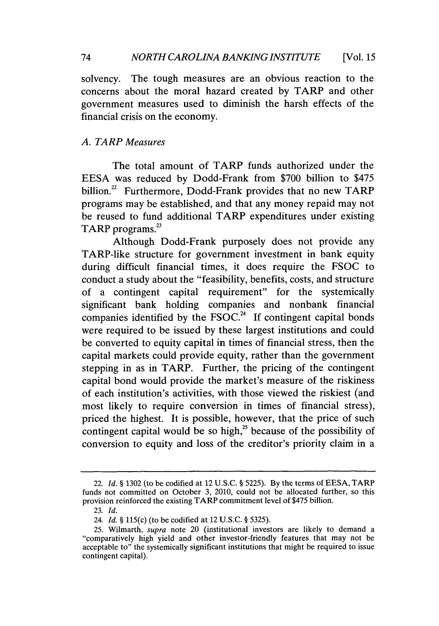solvency. The tough measures are an obvious reaction to the concerns about the moral hazard created **by** TARP and other government measures used to diminish the harsh effects of the financial crisis on the economy.

# *A. TARP Measures*

The total amount of TARP funds authorized under the **EESA** was reduced **by** Dodd-Frank from **\$700** billion to *\$475* billion.<sup>22</sup> Furthermore, Dodd-Frank provides that no new TARP programs may be established, and that any money repaid may not be reused to fund additional TARP expenditures under existing TARP programs.<sup>23</sup>

Although Dodd-Frank purposely does not provide any TARP-like structure for government investment in bank equity during difficult financial times, it does require the **FSOC** to conduct a study about the "feasibility, benefits, costs, and structure of a contingent capital requirement" for the systemically significant bank holding companies and nonbank financial companies identified **by** the FSOC.24 **If** contingent capital bonds were required to be issued **by** these largest institutions and could be converted to equity capital in times of financial stress, then the capital markets could provide equity, rather than the government stepping in as in TARP. Further, the pricing of the contingent capital bond would provide the market's measure of the riskiness of each institution's activities, with those viewed the riskiest (and most likely to require conversion in times of financial stress), priced the highest. It is possible, however, that the price of such contingent capital would be so high, $^{25}$  because of the possibility of conversion to equity and loss of the creditor's priority claim in a

<sup>22.</sup> *Id.* **§ 1302** (to be codified at 12 **U.S.C. § 5225). By** the terms of **EESA,** TARP funds not committed on October **3,** 2010, could not be allocated further, so this provision reinforced the existing TARP commitment level of *\$475* billion.

**<sup>23.</sup>** *Id.*

<sup>24.</sup> *Id. §* 115(c) (to be codified at 12 **U.S.C. §** *5325).*

**<sup>25.</sup>** Wilmarth, *supra* note 20 (institutional investors are likely to demand a "comparatively high yield and other investor-friendly features that may not be acceptable to" the systemically significant institutions that might be required to issue contingent capital).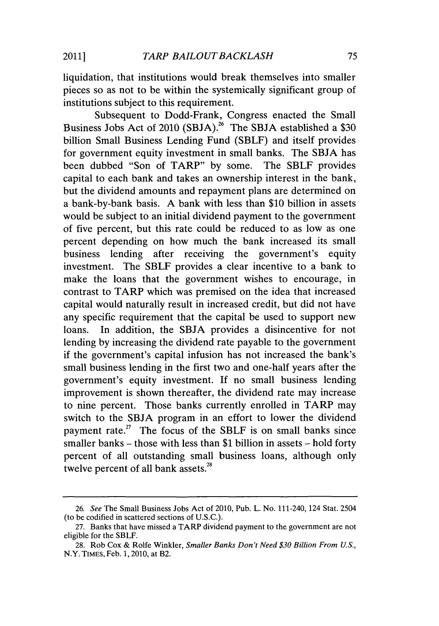liquidation, that institutions would break themselves into smaller pieces so as not to be within the systemically significant group of institutions subject to this requirement.

Subsequent to Dodd-Frank, Congress enacted the Small Business Jobs Act of 2010 **(SBJA).26** The **SBJA** established a **\$30** billion Small Business Lending Fund (SBLF) and itself provides for government equity investment in small banks. The **SBJA** has been dubbed "Son of TARP" **by** some. The SBLF provides capital to each bank and takes an ownership interest in the bank, but the dividend amounts and repayment plans are determined on a bank-by-bank basis. **A** bank with less than **\$10** billion in assets would be subject to an initial dividend payment to the government of five percent, but this rate could be reduced to as low as one percent depending on how much the bank increased its small business lending after receiving the government's equity investment. The SBLF provides a clear incentive to a bank to make the loans that the government wishes to encourage, in contrast to TARP which was premised on the idea that increased capital would naturally result in increased credit, but did not have any specific requirement that the capital be used to support new loans. In addition, the **SBJA** provides a disincentive for not lending **by** increasing the dividend rate payable to the government if the government's capital infusion has not increased the bank's small business lending in the first two and one-half years after the government's equity investment. **If** no small business lending improvement is shown thereafter, the dividend rate may increase to nine percent. Those banks currently enrolled in TARP may switch to the **SBJA** program in an effort to lower the dividend payment rate. $2^7$  The focus of the SBLF is on small banks since smaller banks **-** those with less than **\$1** billion in assets **-** hold forty percent of all outstanding small business loans, although only twelve percent of all bank assets.<sup>28</sup>

**<sup>26.</sup>** *See* The Small Business Jobs Act of 2010, Pub. L. No. 111-240, 124 Stat. 2504 (to be codified in scattered sections of **U.S.C.).**

**<sup>27.</sup>** Banks that have missed a TARP dividend payment to the government are not eligible for the SBLF.

**<sup>28.</sup>** Rob Cox **&** Rolfe Winkler, *Smaller Banks Don't Need \$30 Billion From U.S.,* N.Y. **TIMES,** Feb. **1,** 2010, at B2.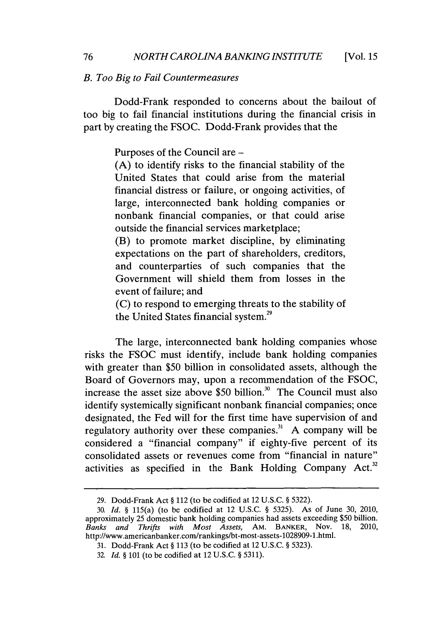#### *B. Too Big to Fail Countermeasures*

Dodd-Frank responded to concerns about the bailout of too big to fail financial institutions during the financial crisis in part **by** creating the **FSOC.** Dodd-Frank provides that the

Purposes of the Council are **-**

**(A)** to identify risks to the financial stability of the United States that could arise from the material financial distress or failure, or ongoing activities, of large, interconnected bank holding companies or nonbank financial companies, or that could arise outside the financial services marketplace;

(B) to promote market discipline, **by** eliminating expectations on the part of shareholders, creditors, and counterparties of such companies that the Government will shield them from losses in the event of failure; and

**(C)** to respond to emerging threats to the stability of the United States financial system.<sup>29</sup>

The large, interconnected bank holding companies whose risks the **FSOC** must identify, include bank holding companies with greater than **\$50** billion in consolidated assets, although the Board of Governors may, upon a recommendation of the **FSOC,** increase the asset size above \$50 billion.<sup>30</sup> The Council must also identify systemically significant nonbank financial companies; once designated, the Fed will for the first time have supervision of and regulatory authority over these companies. **A** company will be considered a "financial company" if eighty-five percent of its consolidated assets or revenues come from "financial in nature" activities as specified in the Bank Holding Company Act.<sup>32</sup>

**<sup>29.</sup>** Dodd-Frank Act *§* 112 (to be codified at 12 **U.S.C. § 5322).**

*<sup>30.</sup> Id. §* 115(a) (to be codified at 12 **U.S.C. § 5325).** As of June **30,** 2010, approximately **25** domestic bank holding companies had assets exceeding **\$50** billion. Banks and Thrifts with Most Assets, AM. BANKER, Nov. http://www.americanbanker.com/rankings/bt-most-assets-1028909-1.html.

**<sup>31.</sup>** Dodd-Frank Act *§* **113** (to be codified at 12 **U.S.C. § 5323).**

**<sup>32.</sup>** *Id. §* **101** (to be codified at 12 **U.S.C. § 5311).**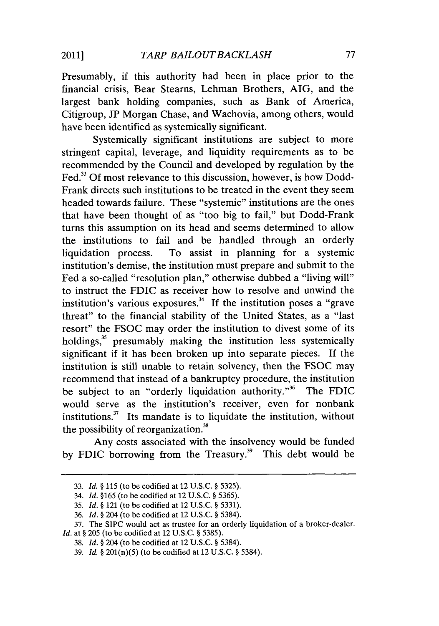Presumably, if this authority had been in place prior to the financial crisis, Bear Stearns, Lehman Brothers, **AIG,** and the largest bank holding companies, such as Bank of America, Citigroup, **JP** Morgan Chase, and Wachovia, among others, would have been identified as systemically significant.

Systemically significant institutions are subject to more stringent capital, leverage, and liquidity requirements as to be recommended **by** the Council and developed **by** regulation **by** the Fed." **Of** most relevance to this discussion, however, is how Dodd-Frank directs such institutions to be treated in the event they seem headed towards failure. These "systemic" institutions are the ones that have been thought of as "too big to fail," but Dodd-Frank turns this assumption on its head and seems determined to allow the institutions to fail and be handled through an orderly liquidation process. To assist in planning for a systemic institution's demise, the institution must prepare and submit to the Fed a so-called "resolution plan," otherwise dubbed a "living will" to instruct the **FDIC** as receiver how to resolve and unwind the institution's various exposures.<sup>34</sup> If the institution poses a "grave" threat" to the financial stability of the United States, as a "last resort" the **FSOC** may order the institution to divest some of its holdings, $35$  presumably making the institution less systemically significant if it has been broken up into separate pieces. **If** the institution is still unable to retain solvency, then the **FSOC** may recommend that instead of a bankruptcy procedure, the institution be subject to an "orderly liquidation authority."<sup>36</sup> The FDIC would serve as the institution's receiver, even for nonbank institutions. $37$  Its mandate is to liquidate the institution, without the possibility of reorganization.

Any costs associated with the insolvency would be funded by FDIC borrowing from the Treasury.<sup>39</sup> This debt would be

**<sup>33.</sup> Id.** *§* **115** (to be codified at 12 **U.S.C. § 5325).**

<sup>34.</sup> *Id.* **§165** (to be codified at 12 **U.S.C. § 5365).**

*<sup>35.</sup> Id. §* 121 (to be codified at 12 **U.S.C. § 5331).**

**<sup>36.</sup>** *Id. §* 204 (to be codified at 12 **U.S.C. § 5384).**

**<sup>37.</sup>** The **SIPC** would act as trustee for an orderly liquidation of a broker-dealer.

*Id.* at **§ 205** (to be codified at 12 **U.S.C. § 5385).**

**<sup>38.</sup>** *Id. §* 204 (to be codified at 12 **U.S.C. §** 5384).

**<sup>39.</sup>** *Id.* **§** 201(n)(5) (to be codified at 12 **U.S.C. § 5384).**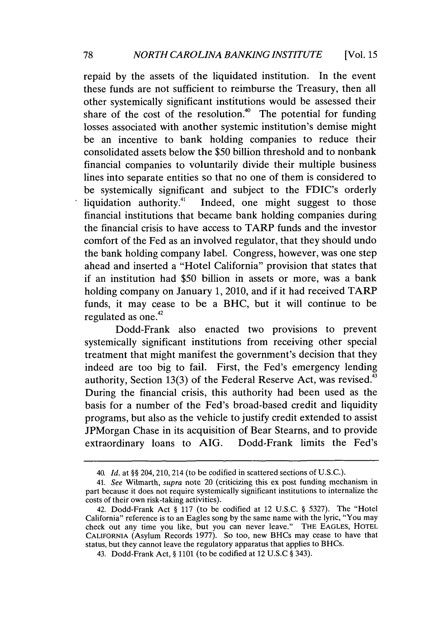repaid **by** the assets of the liquidated institution. In the event these funds are not sufficient to reimburse the Treasury, then all other systemically significant institutions would be assessed their share of the cost of the resolution.<sup>40</sup> The potential for funding losses associated with another systemic institution's demise might be an incentive to bank holding companies to reduce their consolidated assets below the **\$50** billion threshold and to nonbank financial companies to voluntarily divide their multiple business lines into separate entities so that no one of them is considered to be systemically significant and subject to the FDIC's orderly liquidation authority.<sup>41</sup> Indeed, one might suggest to those financial institutions that became bank holding companies during the financial crisis to have access to TARP funds and the investor comfort of the Fed as an involved regulator, that they should undo the bank holding company label. Congress, however, was one step ahead and inserted a "Hotel California" provision that states that if an institution had **\$50** billion in assets or more, was a bank holding company on January **1,** 2010, and if it had received TARP funds, it may cease to be a BHC, but it will continue to be regulated as one.<sup>42</sup>

Dodd-Frank also enacted two provisions to prevent systemically significant institutions from receiving other special treatment that might manifest the government's decision that they indeed are too big to fail. First, the Fed's emergency lending authority, Section 13(3) of the Federal Reserve Act, was revised.<sup>43</sup> During the financial crisis, this authority had been used as the basis for a number of the Fed's broad-based credit and liquidity programs, but also as the vehicle to justify credit extended to assist JPMorgan Chase in its acquisition of Bear Stearns, and to provide extraordinary loans to **AIG.** Dodd-Frank limits the Fed's

*<sup>40.</sup> Id. at §§* 204, 210, 214 (to be codified in scattered sections of **U.S.C.).**

*<sup>41.</sup> See* Wilmarth, *supra* note 20 (criticizing this ex post funding mechanism in part because it does not require systemically significant institutions to internalize the costs of their own risk-taking activities).

<sup>42.</sup> Dodd-Frank Act **§ 117** (to be codified at 12 **U.S.C. §** *5327).* The "Hotel California" reference is to an Eagles song **by** the same name with the lyric, "You may check out any time you like, but you can never leave." **THE EAGLES, HOTEL CALIFORNIA** (Asylum Records **1977).** So too, new BHCs may cease to have that status, but they cannot leave the regulatory apparatus that applies to BHCs.

<sup>43.</sup> Dodd-Frank Act, **§ 1101** (to be codified at 12 **U.S.C §** 343).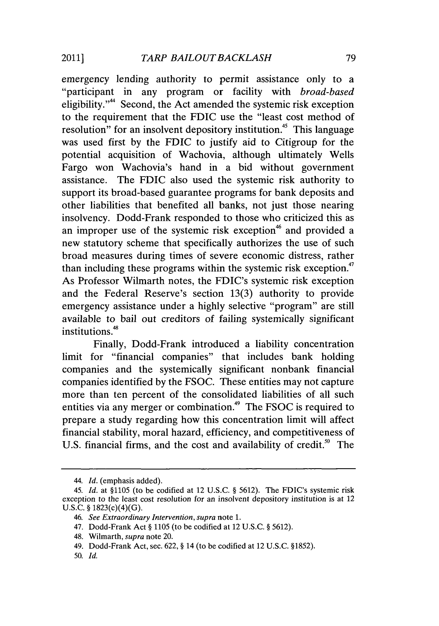emergency lending authority to permit assistance only to a "participant in any program or facility with *broad-based* eligibility."" Second, the Act amended the systemic risk exception to the requirement that the **FDIC** use the "least cost method of resolution" for an insolvent depository institution.<sup>45</sup> This language was used first **by** the **FDIC** to justify aid to Citigroup for the potential acquisition of Wachovia, although ultimately Wells Fargo won Wachovia's hand in a bid without government assistance. The **FDIC** also used the systemic risk authority to support its broad-based guarantee programs for bank deposits and other liabilities that benefited all banks, not just those nearing insolvency. Dodd-Frank responded to those who criticized this as an improper use of the systemic risk exception<sup>46</sup> and provided a new statutory scheme that specifically authorizes the use of such broad measures during times of severe economic distress, rather than including these programs within the systemic risk exception.<sup>47</sup> As Professor Wilmarth notes, the FDIC's systemic risk exception and the Federal Reserve's section **13(3)** authority to provide emergency assistance under a **highly** selective "program" are still available to bail out creditors of failing systemically significant institutions.<sup>48</sup>

Finally, Dodd-Frank introduced a liability concentration limit for "financial companies" that includes bank holding companies and the systemically significant nonbank financial companies identified **by** the **FSOC.** These entities may not capture more than ten percent of the consolidated liabilities of all such entities via any merger or combination.<sup>49</sup> The FSOC is required to prepare a study regarding how this concentration limit will affect financial stability, moral hazard, efficiency, and competitiveness of U.S. financial firms, and the cost and availability of credit.<sup>50</sup> The

<sup>44.</sup> *Id.* (emphasis added).

*<sup>45.</sup> Id.* at **§1105** (to be codified at 12 **U.S.C. § 5612).** The FDIC's systemic risk exception to the least cost *resolution for* an insolvent depository institution is at 12 **U.S.C. §** 1823(c)(4)(G).

*<sup>46.</sup> See Extraordinary Intervention, supra* note **1.**

<sup>47.</sup> Dodd-Frank Act **§ 1105** (to be codified at 12 **U.S.C. § 5612).**

<sup>48.</sup> Wilmarth, *supra* note 20.

<sup>49.</sup> Dodd-Frank Act, sec. **622, §** 14 (to be codified at 12 **U.S.C. §1852).**

*<sup>50.</sup> Id.*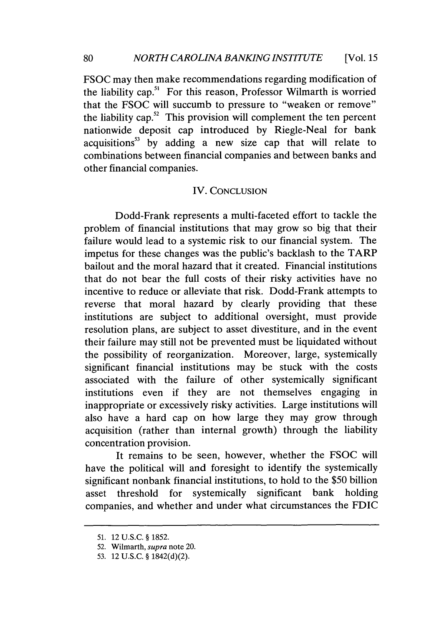**FSOC** may then make recommendations regarding modification of the liability cap." For this reason, Professor Wilmarth is worried that the **FSOC** will succumb to pressure to "weaken or remove" the liability cap. $52$  This provision will complement the ten percent nationwide deposit cap introduced **by** Riegle-Neal for bank acquisitions" **by** adding a new size cap that will relate to combinations between financial companies and between banks and other financial companies.

## IV. **CONCLUSION**

Dodd-Frank represents a multi-faceted effort to tackle the problem of financial institutions that may grow so big that their failure would lead to a systemic risk to our financial system. The impetus for these changes was the public's backlash to the TARP bailout and the moral hazard that it created. Financial institutions that do not bear the full costs of their risky activities have no incentive to reduce or alleviate that risk. Dodd-Frank attempts to reverse that moral hazard **by** clearly providing that these institutions are subject to additional oversight, must provide resolution plans, are subject to asset divestiture, and in the event their failure may still not be prevented must be liquidated without the possibility of reorganization. Moreover, large, systemically significant financial institutions may be stuck with the costs associated with the failure of other systemically significant institutions even if they are not themselves engaging in inappropriate or excessively risky activities. Large institutions will also have a hard cap on how large they may grow through acquisition (rather than internal growth) through the liability concentration provision.

It remains to be seen, however, whether the **FSOC** will have the political will and foresight to identify the systemically significant nonbank financial institutions, to hold to the *\$50* billion asset threshold for systemically significant bank holding companies, and whether and under what circumstances the **FDIC**

**<sup>51.</sup>** 12 **U.S.C. § 1852.**

**<sup>52.</sup>** Wilmarth, *supra* note 20.

**<sup>53.</sup>** 12 **U.S.C. § 1842(d)(2).**